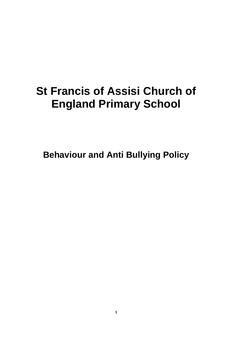## **St Francis of Assisi Church of England Primary School**

**Behaviour and Anti Bullying Policy**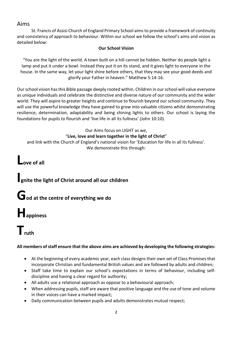#### Aims

St. Francis of Assisi Church of England Primary School aims to provide a framework of continuity and consistency of approach to behaviour. Within our school we follow the school's aims and vision as detailed below:

#### **Our School Vision**

"You are the light of the world. A town built on a hill cannot be hidden. Neither do people light a lamp and put it under a bowl. Instead they put it on its stand, and it gives light to everyone in the house. In the same way, let your light shine before others, that they may see your good deeds and glorify your Father in heaven." Matthew 5:14-16.

Our school vision has this Bible passage deeply rooted within. Children in our school will value everyone as unique individuals and celebrate the distinctive and diverse nature of our community and the wider world. They will aspire to greater heights and continue to flourish beyond our school community. They will use the powerful knowledge they have gained to grow into valuable citizens whilst demonstrating resilience, determination, adaptability and being shining lights to others. Our school is laying the foundations for pupils to flourish and 'live life in all its fullness' (John 10:10).

Our Aims focus on LIGHT as we, "**Live, love and learn together in the light of Christ**" and link with the Church of England's national vision for 'Education for life in all its fullness'. We demonstrate this through:

**Love of all**

### **Ignite the light of Christ around all our children**

## **God at the centre of everything we do**

# **Happiness**

## **Truth**

#### **All members of staff ensure that the above aims are achieved by developing the following strategies:**

- At the beginning of every academic year, each class designs their own set of Class Promises that incorporate Christian and fundamental British values and are followed by adults and children;
- Staff take time to explain our school's expectations in terms of behaviour, including selfdiscipline and having a clear regard for authority;
- All adults use a relational approach as oppose to a behavioural approach;
- When addressing pupils, staff are aware that positive language and the use of tone and volume in their voices can have a marked impact;
- Daily communication between pupils and adults demonstrates mutual respect;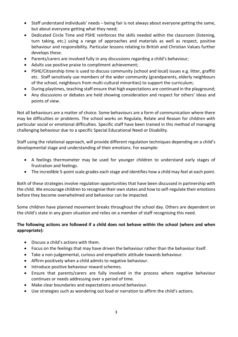- Staff understand individuals' needs being fair is not always about everyone getting the same, but about everyone getting what they need;
- Dedicated Circle Time and PSHE reinforces the skills needed within the classroom (listening, turn taking, etc.) using a range of approaches and materials as well as respect, positive behaviour and responsibility. Particular lessons relating to British and Christian Values further develops these.
- Parents/carers are involved fully in any discussions regarding a child's behaviour;
- Adults use positive praise to compliment achievement;
- PSHE/Citizenship time is used to discuss community (school and local) issues e.g. litter, graffiti etc. Staff sensitively use members of the wider community (grandparents, elderly neighbours of the school, neighbours from multi-cultural minorities) to support the curriculum;
- During playtimes, teaching staff ensure that high expectations are continued in the playground;
- Any discussions or debates are held showing consideration and respect for others' ideas and points of view.

Not all behaviours are a matter of choice. Some behaviours are a form of communication where there may be difficulties or problems. The school works on Regulate, Relate and Reason for children with particular social or emotional difficulties. Specific staff have been trained in this method of managing challenging behaviour due to a specific Special Educational Need or Disability.

Staff using the relational approach, will provide different regulation techniques depending on a child's developmental stage and understanding of their emotions. For example:

- A feelings thermometer may be used for younger children to understand early stages of frustration and feelings.
- The incredible 5-point scale grades each stage and identifies how a child may feel at each point.

Both of these strategies involve regulation opportunities that have been discussed in partnership with the child. We encourage children to recognise their own states and how to self-regulate their emotions before they become overwhelmed and behaviour can be impacted.

Some children have planned movement breaks throughout the school day. Others are dependent on the child's state in any given situation and relies on a member of staff recognising this need.

#### **The following actions are followed if a child does not behave within the school (where and when appropriate):**

- Discuss a child's actions with them.
- Focus on the feelings that may have driven the behaviour rather than the behaviour itself.
- Take a non-judgemental, curious and empathetic attitude towards behaviour.
- Affirm positively when a child admits to negative behaviour.
- Introduce positive behaviour reward schemes.
- Ensure that parents/carers are fully involved in the process where negative behaviour continues or needs addressing over a period of time.
- Make clear boundaries and expectations around behaviour.
- Use strategies such as wondering out loud or narration to affirm the child's actions.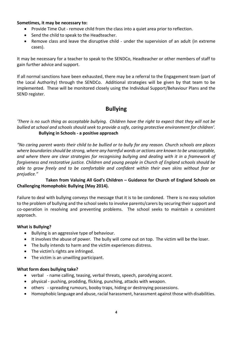#### **Sometimes, it may be necessary to:**

- Provide Time Out remove child from the class into a quiet area prior to reflection.
- Send the child to speak to the Headteacher.
- Remove class and leave the disruptive child under the supervision of an adult (in extreme cases).

It may be necessary for a teacher to speak to the SENDCo, Headteacher or other members of staff to gain further advice and support.

If all normal sanctions have been exhausted, there may be a referral to the Engagement team (part of the Local Authority) through the SENDCo. Additional strategies will be given by that team to be implemented. These will be monitored closely using the Individual Support/Behaviour Plans and the SEND register.

#### **Bullying**

*'There is no such thing as acceptable bullying. Children have the right to expect that they will not be bullied at school and schools should seek to provide a safe, caring protective environment for children'.* **Bullying in Schools - a positive approach**

*"No caring parent wants their child to be bullied or to bully for any reason. Church schools are places where boundaries should be strong, where any harmful words or actions are known to be unacceptable, and where there are clear strategies for recognising bullying and dealing with it in a framework of forgiveness and restorative justice. Children and young people in Church of England schools should be able to grow freely and to be comfortable and confident within their own skins without fear or prejudice."*

#### **Taken from Valuing All God's Children – Guidance for Church of England Schools on Challenging Homophobic Bullying (May 2014).**

Failure to deal with bullying conveys the message that it is to be condoned. There is no easy solution to the problem of bullying and the school seeks to involve parents/carers by securing their support and co-operation in resolving and preventing problems. The school seeks to maintain a consistent approach.

#### **What is Bullying?**

- Bullying is an aggressive type of behaviour.
- It involves the abuse of power. The bully will come out on top. The victim will be the loser.
- The bully intends to harm and the victim experiences distress.
- The victim's rights are infringed.
- The victim is an unwilling participant.

#### **What form does bullying take?**

- verbal name calling, teasing, verbal threats, speech, parodying accent.
- physical pushing, prodding, flicking, punching, attacks with weapon.
- others spreading rumours, booby traps, hiding or destroying possessions.
- Homophobic language and abuse, racial harassment, harassment against those with disabilities.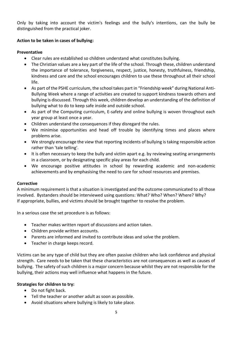Only by taking into account the victim's feelings and the bully's intentions, can the bully be distinguished from the practical joker.

#### **Action to be taken in cases of bullying:**

#### **Preventative**

- Clear rules are established so children understand what constitutes bullying.
- The Christian values are a key part of the life of the school. Through these, children understand the importance of tolerance, forgiveness, respect, justice, honesty, truthfulness, friendship, kindness and care and the school encourages children to use these throughout all their school life.
- As part of the PSHE curriculum, the school takes part in "Friendship week" during National Anti-Bullying Week where a range of activities are created to support kindness towards others and bullying is discussed. Through this week, children develop an understanding of the definition of bullying what to do to keep safe inside and outside school.
- As part of the Computing curriculum, E-safety and online bullying is woven throughout each year group at least once a year.
- Children understand the consequences if they disregard the rules.
- We minimise opportunities and head off trouble by identifying times and places where problems arise.
- We strongly encourage the view that reporting incidents of bullying is taking responsible action rather than 'tale telling'.
- It is often necessary to keep the bully and victim apart e.g. by reviewing seating arrangements in a classroom, or by designating specific play areas for each child.
- We encourage positive attitudes in school by rewarding academic and non-academic achievements and by emphasising the need to care for school resources and premises.

#### **Corrective**

A minimum requirement is that a situation is investigated and the outcome communicated to all those involved. Bystanders should be interviewed using questions: What? Who? When? Where? Why? If appropriate, bullies, and victims should be brought together to resolve the problem.

In a serious case the set procedure is as follows:

- Teacher makes written report of discussions and action taken.
- Children provide written accounts.
- Parents are informed and invited to contribute ideas and solve the problem.
- Teacher in charge keeps record.

Victims can be any type of child but they are often passive children who lack confidence and physical strength. Care needs to be taken that these characteristics are not consequences as well as causes of bullying. The safety of such children is a major concern because whilst they are not responsible for the bullying, their actions may well influence what happens in the future.

#### **Strategies for children to try:**

- Do not fight back.
- Tell the teacher or another adult as soon as possible.
- Avoid situations where bullying is likely to take place.